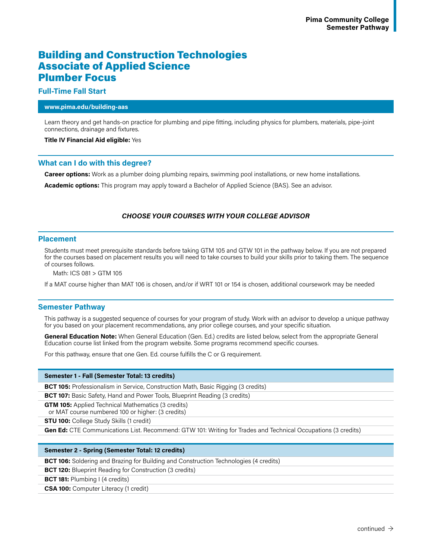# Building and Construction Technologies Associate of Applied Science Plumber Focus

## **Full-Time Fall Start**

#### **www.pima.edu/building-aas**

Learn theory and get hands-on practice for plumbing and pipe fitting, including physics for plumbers, materials, pipe-joint connections, drainage and fixtures.

#### **Title IV Financial Aid eligible:** Yes

# **What can I do with this degree?**

**Career options:** Work as a plumber doing plumbing repairs, swimming pool installations, or new home installations.

**Academic options:** This program may apply toward a Bachelor of Applied Science (BAS). See an advisor.

# *CHOOSE YOUR COURSES WITH YOUR COLLEGE ADVISOR*

## **Placement**

Students must meet prerequisite standards before taking GTM 105 and GTW 101 in the pathway below. If you are not prepared for the courses based on placement results you will need to take courses to build your skills prior to taking them. The sequence of courses follows.

Math: ICS 081 > GTM 105

If a MAT course higher than MAT 106 is chosen, and/or if WRT 101 or 154 is chosen, additional coursework may be needed

# **Semester Pathway**

This pathway is a suggested sequence of courses for your program of study. Work with an advisor to develop a unique pathway for you based on your placement recommendations, any prior college courses, and your specific situation.

**General Education Note:** When General Education (Gen. Ed.) credits are listed below, select from the appropriate General Education course list linked from the program website. Some programs recommend specific courses.

For this pathway, ensure that one Gen. Ed. course fulfills the C or G requirement.

#### **Semester 1 - Fall (Semester Total: 13 credits)**

**BCT 105:** Professionalism in Service, Construction Math, Basic Rigging (3 credits)

**BCT 107:** Basic Safety, Hand and Power Tools, Blueprint Reading (3 credits)

**GTM 105:** Applied Technical Mathematics (3 credits)

or MAT course numbered 100 or higher: (3 credits)

**STU 100:** College Study Skills (1 credit)

**Gen Ed:** CTE Communications List. Recommend: GTW 101: Writing for Trades and Technical Occupations (3 credits)

#### **Semester 2 - Spring (Semester Total: 12 credits)**

**BCT 106:** Soldering and Brazing for Building and Construction Technologies (4 credits)

**BCT 120:** Blueprint Reading for Construction (3 credits)

**BCT 181:** Plumbing I (4 credits)

**CSA 100:** Computer Literacy (1 credit)